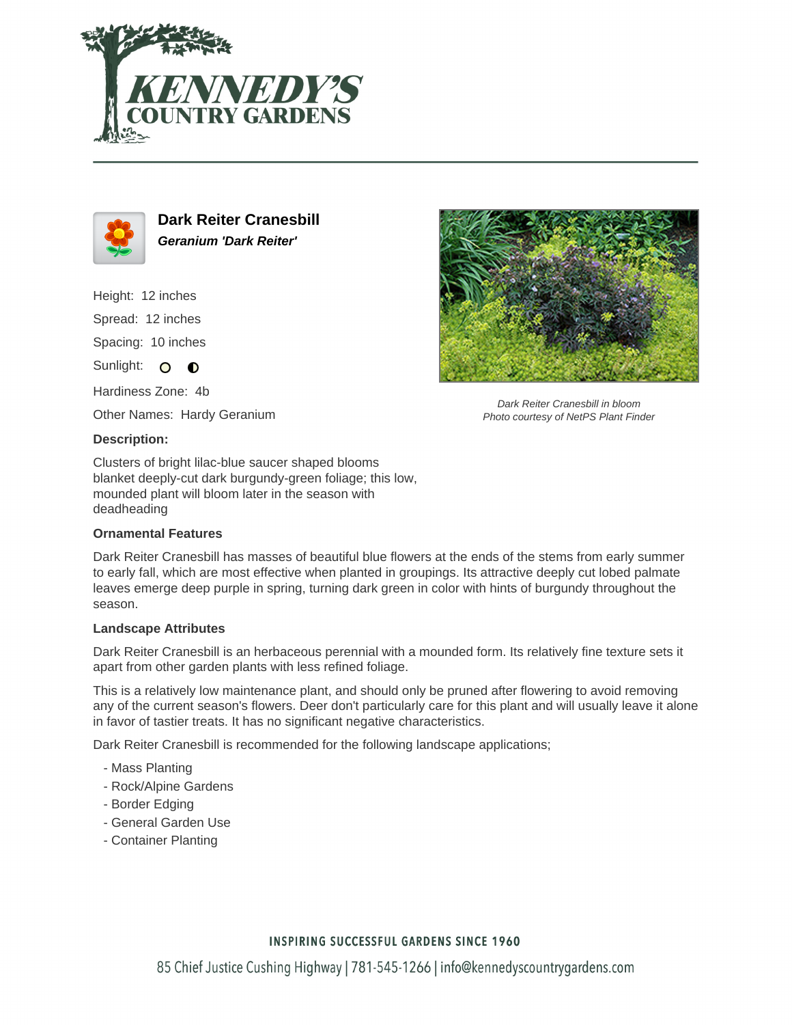



**Dark Reiter Cranesbill Geranium 'Dark Reiter'**

Height: 12 inches Spread: 12 inches

Spacing: 10 inches

Sunlight: O **O** 

Hardiness Zone: 4b

Other Names: Hardy Geranium

#### **Description:**

Clusters of bright lilac-blue saucer shaped blooms blanket deeply-cut dark burgundy-green foliage; this low, mounded plant will bloom later in the season with deadheading

### **Ornamental Features**

Dark Reiter Cranesbill has masses of beautiful blue flowers at the ends of the stems from early summer to early fall, which are most effective when planted in groupings. Its attractive deeply cut lobed palmate leaves emerge deep purple in spring, turning dark green in color with hints of burgundy throughout the season.

#### **Landscape Attributes**

Dark Reiter Cranesbill is an herbaceous perennial with a mounded form. Its relatively fine texture sets it apart from other garden plants with less refined foliage.

This is a relatively low maintenance plant, and should only be pruned after flowering to avoid removing any of the current season's flowers. Deer don't particularly care for this plant and will usually leave it alone in favor of tastier treats. It has no significant negative characteristics.

Dark Reiter Cranesbill is recommended for the following landscape applications;

- Mass Planting
- Rock/Alpine Gardens
- Border Edging
- General Garden Use
- Container Planting



Dark Reiter Cranesbill in bloom Photo courtesy of NetPS Plant Finder

## **INSPIRING SUCCESSFUL GARDENS SINCE 1960**

85 Chief Justice Cushing Highway | 781-545-1266 | info@kennedyscountrygardens.com